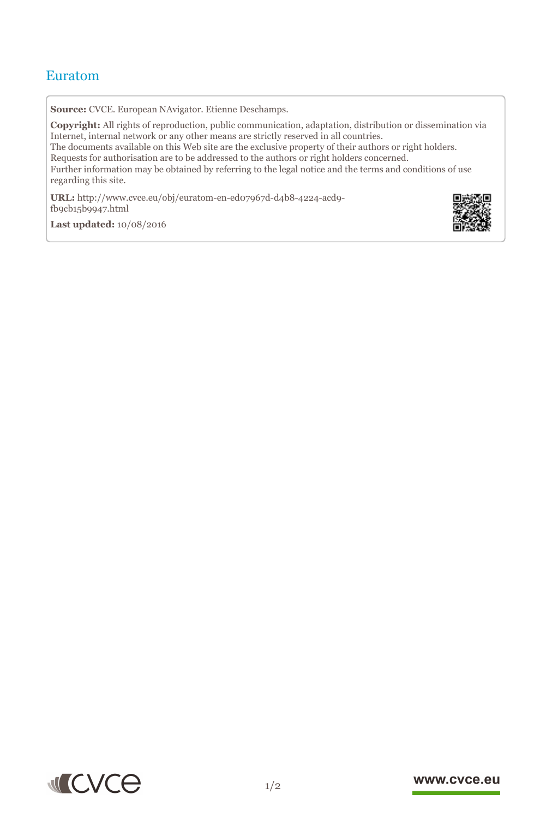## Euratom

**Source:** CVCE. European NAvigator. Etienne Deschamps.

**Copyright:** All rights of reproduction, public communication, adaptation, distribution or dissemination via Internet, internal network or any other means are strictly reserved in all countries. The documents available on this Web site are the exclusive property of their authors or right holders. Requests for authorisation are to be addressed to the authors or right holders concerned. Further information may be obtained by referring to the legal notice and the terms and conditions of use regarding this site.

**URL:** http://www.cvce.eu/obj/euratom-en-ed07967d-d4b8-4224-acd9  $f_{9c}$ <sub>5b9[947.html](http://www.cvce.eu/obj/euratom-en-ed07967d-d4b8-4224-acd9-fb9cb15b9947.html)</sub>

**Las[t updated:](http://www.cvce.eu/obj/euratom-en-ed07967d-d4b8-4224-acd9-fb9cb15b9947.html)** 10/08/2016